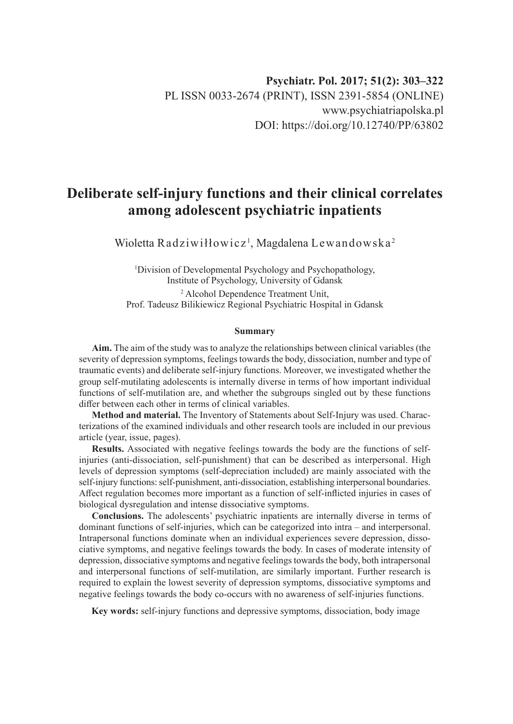# **Deliberate self-injury functions and their clinical correlates among adolescent psychiatric inpatients**

Wioletta Radziwiłłowicz<sup>1</sup>, Magdalena Lewandowska<sup>2</sup>

1 Division of Developmental Psychology and Psychopathology, Institute of Psychology, University of Gdansk

2 Alcohol Dependence Treatment Unit, Prof. Tadeusz Bilikiewicz Regional Psychiatric Hospital in Gdansk

#### **Summary**

**Aim.** The aim of the study was to analyze the relationships between clinical variables (the severity of depression symptoms, feelings towards the body, dissociation, number and type of traumatic events) and deliberate self-injury functions. Moreover, we investigated whether the group self-mutilating adolescents is internally diverse in terms of how important individual functions of self-mutilation are, and whether the subgroups singled out by these functions differ between each other in terms of clinical variables.

**Method and material.** The Inventory of Statements about Self-Injury was used. Characterizations of the examined individuals and other research tools are included in our previous article (year, issue, pages).

**Results.** Associated with negative feelings towards the body are the functions of selfinjuries (anti-dissociation, self-punishment) that can be described as interpersonal. High levels of depression symptoms (self-depreciation included) are mainly associated with the self-injury functions: self-punishment, anti-dissociation, establishing interpersonal boundaries. Affect regulation becomes more important as a function of self-inflicted injuries in cases of biological dysregulation and intense dissociative symptoms.

**Conclusions.** The adolescents' psychiatric inpatients are internally diverse in terms of dominant functions of self-injuries, which can be categorized into intra – and interpersonal. Intrapersonal functions dominate when an individual experiences severe depression, dissociative symptoms, and negative feelings towards the body. In cases of moderate intensity of depression, dissociative symptoms and negative feelings towards the body, both intrapersonal and interpersonal functions of self-mutilation, are similarly important. Further research is required to explain the lowest severity of depression symptoms, dissociative symptoms and negative feelings towards the body co-occurs with no awareness of self-injuries functions.

**Key words:** self-injury functions and depressive symptoms, dissociation, body image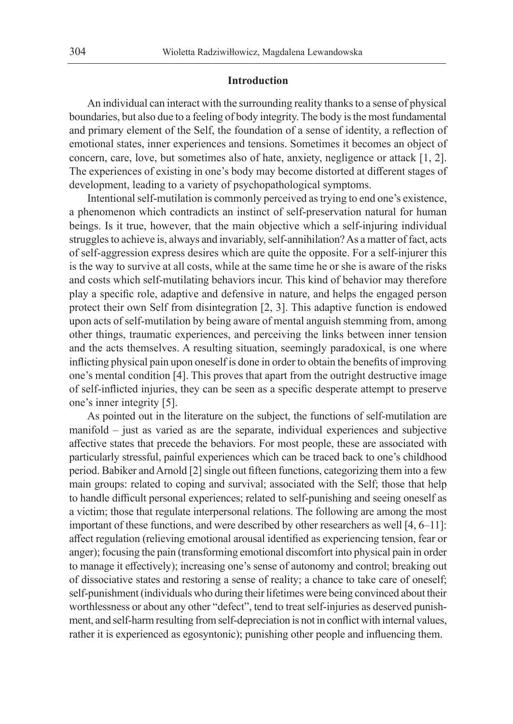#### **Introduction**

An individual can interact with the surrounding reality thanks to a sense of physical boundaries, but also due to a feeling of body integrity. The body is the most fundamental and primary element of the Self, the foundation of a sense of identity, a reflection of emotional states, inner experiences and tensions. Sometimes it becomes an object of concern, care, love, but sometimes also of hate, anxiety, negligence or attack [1, 2]. The experiences of existing in one's body may become distorted at different stages of development, leading to a variety of psychopathological symptoms.

Intentional self-mutilation is commonly perceived as trying to end one's existence, a phenomenon which contradicts an instinct of self-preservation natural for human beings. Is it true, however, that the main objective which a self-injuring individual struggles to achieve is, always and invariably, self-annihilation? As a matter of fact, acts of self-aggression express desires which are quite the opposite. For a self-injurer this is the way to survive at all costs, while at the same time he or she is aware of the risks and costs which self-mutilating behaviors incur. This kind of behavior may therefore play a specific role, adaptive and defensive in nature, and helps the engaged person protect their own Self from disintegration [2, 3]. This adaptive function is endowed upon acts of self-mutilation by being aware of mental anguish stemming from, among other things, traumatic experiences, and perceiving the links between inner tension and the acts themselves. A resulting situation, seemingly paradoxical, is one where inflicting physical pain upon oneself is done in order to obtain the benefits of improving one's mental condition [4]. This proves that apart from the outright destructive image of self-inflicted injuries, they can be seen as a specific desperate attempt to preserve one's inner integrity [5].

As pointed out in the literature on the subject, the functions of self-mutilation are manifold – just as varied as are the separate, individual experiences and subjective affective states that precede the behaviors. For most people, these are associated with particularly stressful, painful experiences which can be traced back to one's childhood period. Babiker and Arnold [2] single out fifteen functions, categorizing them into a few main groups: related to coping and survival; associated with the Self; those that help to handle difficult personal experiences; related to self-punishing and seeing oneself as a victim; those that regulate interpersonal relations. The following are among the most important of these functions, and were described by other researchers as well [4, 6–11]: affect regulation (relieving emotional arousal identified as experiencing tension, fear or anger); focusing the pain (transforming emotional discomfort into physical pain in order to manage it effectively); increasing one's sense of autonomy and control; breaking out of dissociative states and restoring a sense of reality; a chance to take care of oneself; self-punishment (individuals who during their lifetimes were being convinced about their worthlessness or about any other "defect", tend to treat self-injuries as deserved punishment, and self-harm resulting from self-depreciation is not in conflict with internal values, rather it is experienced as egosyntonic); punishing other people and influencing them.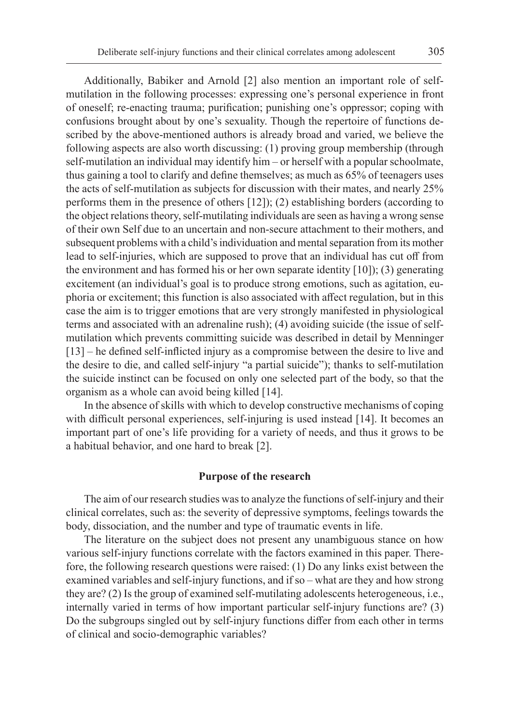Additionally, Babiker and Arnold [2] also mention an important role of selfmutilation in the following processes: expressing one's personal experience in front of oneself; re-enacting trauma; purification; punishing one's oppressor; coping with confusions brought about by one's sexuality. Though the repertoire of functions described by the above-mentioned authors is already broad and varied, we believe the following aspects are also worth discussing: (1) proving group membership (through self-mutilation an individual may identify him – or herself with a popular schoolmate, thus gaining a tool to clarify and define themselves; as much as 65% of teenagers uses the acts of self-mutilation as subjects for discussion with their mates, and nearly 25% performs them in the presence of others [12]); (2) establishing borders (according to the object relations theory, self-mutilating individuals are seen as having a wrong sense of their own Self due to an uncertain and non-secure attachment to their mothers, and subsequent problems with a child's individuation and mental separation from its mother lead to self-injuries, which are supposed to prove that an individual has cut off from the environment and has formed his or her own separate identity [10]); (3) generating excitement (an individual's goal is to produce strong emotions, such as agitation, euphoria or excitement; this function is also associated with affect regulation, but in this case the aim is to trigger emotions that are very strongly manifested in physiological terms and associated with an adrenaline rush); (4) avoiding suicide (the issue of selfmutilation which prevents committing suicide was described in detail by Menninger [13] – he defined self-inflicted injury as a compromise between the desire to live and the desire to die, and called self-injury "a partial suicide"); thanks to self-mutilation the suicide instinct can be focused on only one selected part of the body, so that the organism as a whole can avoid being killed [14].

In the absence of skills with which to develop constructive mechanisms of coping with difficult personal experiences, self-injuring is used instead [14]. It becomes an important part of one's life providing for a variety of needs, and thus it grows to be a habitual behavior, and one hard to break [2].

#### **Purpose of the research**

The aim of our research studies was to analyze the functions of self-injury and their clinical correlates, such as: the severity of depressive symptoms, feelings towards the body, dissociation, and the number and type of traumatic events in life.

The literature on the subject does not present any unambiguous stance on how various self-injury functions correlate with the factors examined in this paper. Therefore, the following research questions were raised: (1) Do any links exist between the examined variables and self-injury functions, and if so – what are they and how strong they are? (2) Is the group of examined self-mutilating adolescents heterogeneous, i.e., internally varied in terms of how important particular self-injury functions are? (3) Do the subgroups singled out by self-injury functions differ from each other in terms of clinical and socio-demographic variables?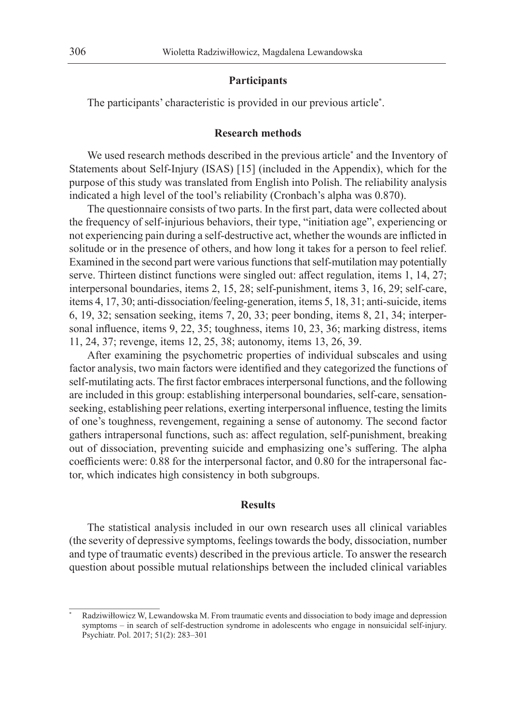### **Participants**

The participants' characteristic is provided in our previous article\* .

## **Research methods**

We used research methods described in the previous article<sup>\*</sup> and the Inventory of Statements about Self-Injury (ISAS) [15] (included in the Appendix), which for the purpose of this study was translated from English into Polish. The reliability analysis indicated a high level of the tool's reliability (Cronbach's alpha was 0.870).

The questionnaire consists of two parts. In the first part, data were collected about the frequency of self-injurious behaviors, their type, "initiation age", experiencing or not experiencing pain during a self-destructive act, whether the wounds are inflicted in solitude or in the presence of others, and how long it takes for a person to feel relief. Examined in the second part were various functions that self-mutilation may potentially serve. Thirteen distinct functions were singled out: affect regulation, items 1, 14, 27; interpersonal boundaries, items 2, 15, 28; self-punishment, items 3, 16, 29; self-care, items 4, 17, 30; anti-dissociation/feeling-generation, items 5, 18, 31; anti-suicide, items 6, 19, 32; sensation seeking, items 7, 20, 33; peer bonding, items 8, 21, 34; interpersonal influence, items 9, 22, 35; toughness, items 10, 23, 36; marking distress, items 11, 24, 37; revenge, items 12, 25, 38; autonomy, items 13, 26, 39.

After examining the psychometric properties of individual subscales and using factor analysis, two main factors were identified and they categorized the functions of self-mutilating acts. The first factor embraces interpersonal functions, and the following are included in this group: establishing interpersonal boundaries, self-care, sensationseeking, establishing peer relations, exerting interpersonal influence, testing the limits of one's toughness, revengement, regaining a sense of autonomy. The second factor gathers intrapersonal functions, such as: affect regulation, self-punishment, breaking out of dissociation, preventing suicide and emphasizing one's suffering. The alpha coefficients were: 0.88 for the interpersonal factor, and 0.80 for the intrapersonal factor, which indicates high consistency in both subgroups.

#### **Results**

The statistical analysis included in our own research uses all clinical variables (the severity of depressive symptoms, feelings towards the body, dissociation, number and type of traumatic events) described in the previous article. To answer the research question about possible mutual relationships between the included clinical variables

Radziwiłłowicz W, Lewandowska M. From traumatic events and dissociation to body image and depression symptoms – in search of self-destruction syndrome in adolescents who engage in nonsuicidal self-injury. Psychiatr. Pol. 2017; 51(2): 283–301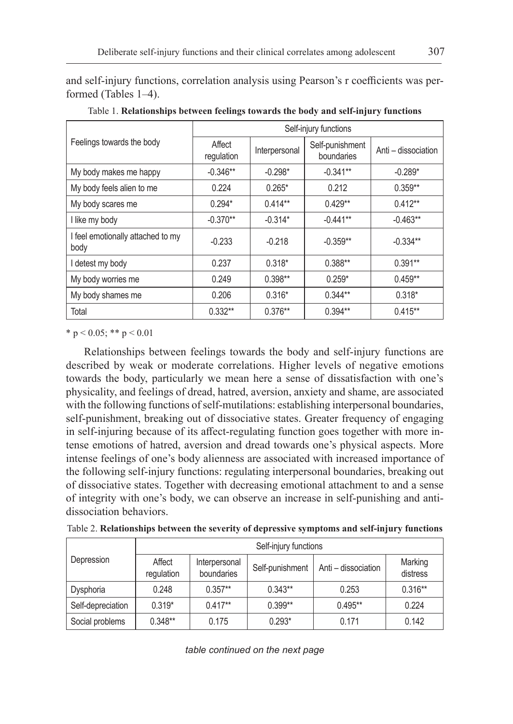and self-injury functions, correlation analysis using Pearson's r coefficients was performed (Tables 1–4).

|                                           | Self-injury functions |               |                               |                     |  |  |  |
|-------------------------------------------|-----------------------|---------------|-------------------------------|---------------------|--|--|--|
| Feelings towards the body                 | Affect<br>regulation  | Interpersonal | Self-punishment<br>boundaries | Anti - dissociation |  |  |  |
| My body makes me happy                    | $-0.346**$            | $-0.298*$     | $-0.341**$                    | $-0.289*$           |  |  |  |
| My body feels alien to me                 | 0.224                 | $0.265*$      | 0.212                         | $0.359**$           |  |  |  |
| My body scares me                         | $0.294*$              | $0.414**$     | $0.429**$                     | $0.412**$           |  |  |  |
| I like my body                            | $-0.370**$            | $-0.314*$     | $-0.441**$                    | $-0.463**$          |  |  |  |
| I feel emotionally attached to my<br>body | $-0.233$              | $-0.218$      | $-0.359**$                    | $-0.334**$          |  |  |  |
| I detest my body                          | 0.237                 | $0.318*$      | $0.388**$                     | $0.391**$           |  |  |  |
| My body worries me                        | 0.249                 | $0.398**$     | $0.259*$                      | $0.459**$           |  |  |  |
| My body shames me                         | 0.206                 | $0.316*$      | $0.344**$                     | $0.318*$            |  |  |  |
| Total                                     | $0.332**$             | $0.376**$     | $0.394**$                     | $0.415**$           |  |  |  |

Table 1. **Relationships between feelings towards the body and self-injury functions**

\* p < 0.05; \*\* p < 0.01

Relationships between feelings towards the body and self-injury functions are described by weak or moderate correlations. Higher levels of negative emotions towards the body, particularly we mean here a sense of dissatisfaction with one's physicality, and feelings of dread, hatred, aversion, anxiety and shame, are associated with the following functions of self-mutilations: establishing interpersonal boundaries, self-punishment, breaking out of dissociative states. Greater frequency of engaging in self-injuring because of its affect-regulating function goes together with more intense emotions of hatred, aversion and dread towards one's physical aspects. More intense feelings of one's body alienness are associated with increased importance of the following self-injury functions: regulating interpersonal boundaries, breaking out of dissociative states. Together with decreasing emotional attachment to and a sense of integrity with one's body, we can observe an increase in self-punishing and antidissociation behaviors.

| Table 2. Relationships between the severity of depressive symptoms and self-injury functions |  |  |
|----------------------------------------------------------------------------------------------|--|--|
|----------------------------------------------------------------------------------------------|--|--|

|                   | Self-injury functions |                             |                 |                     |                     |  |  |  |
|-------------------|-----------------------|-----------------------------|-----------------|---------------------|---------------------|--|--|--|
| Depression        | Affect<br>regulation  | Interpersonal<br>boundaries | Self-punishment | Anti - dissociation | Marking<br>distress |  |  |  |
| Dysphoria         | 0.248                 | $0.357**$                   | $0.343**$       | 0.253               | $0.316**$           |  |  |  |
| Self-depreciation | $0.319*$              | $0.417**$                   | $0.399**$       | $0.495**$           | 0.224               |  |  |  |
| Social problems   | $0.348**$             | 0.175                       | $0.293*$        | 0.171               | 0.142               |  |  |  |

*table continued on the next page*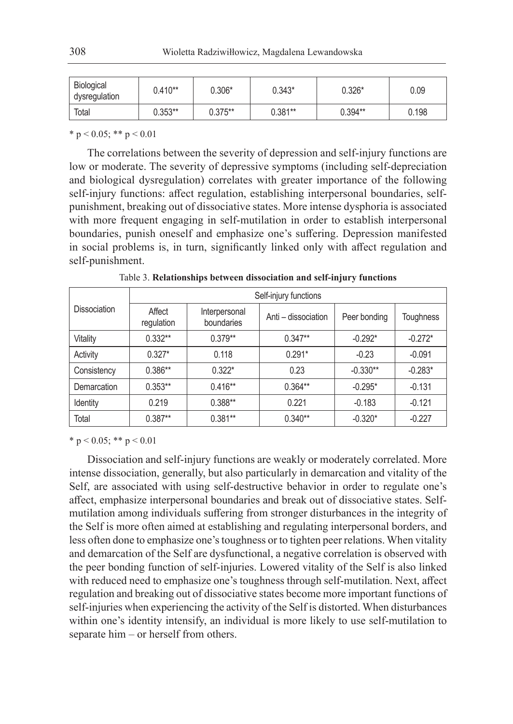| Biological<br>dysregulation | $0.410**$ | $0.306*$  | 0.343*    | $0.326*$  | 0.09  |
|-----------------------------|-----------|-----------|-----------|-----------|-------|
| Total                       | $0.353**$ | $0.375**$ | $0.381**$ | $0.394**$ | 0.198 |

\* p < 0.05; \*\* p < 0.01

The correlations between the severity of depression and self-injury functions are low or moderate. The severity of depressive symptoms (including self-depreciation and biological dysregulation) correlates with greater importance of the following self-injury functions: affect regulation, establishing interpersonal boundaries, selfpunishment, breaking out of dissociative states. More intense dysphoria is associated with more frequent engaging in self-mutilation in order to establish interpersonal boundaries, punish oneself and emphasize one's suffering. Depression manifested in social problems is, in turn, significantly linked only with affect regulation and self-punishment.

|                     | Self-injury functions |                             |                     |              |           |  |  |  |
|---------------------|-----------------------|-----------------------------|---------------------|--------------|-----------|--|--|--|
| <b>Dissociation</b> | Affect<br>regulation  | Interpersonal<br>boundaries | Anti – dissociation | Peer bonding | Toughness |  |  |  |
| Vitality            | $0.332**$             | $0.379**$                   | $0.347**$           | $-0.292*$    | $-0.272*$ |  |  |  |
| Activity            | $0.327*$              | 0.118                       | $0.291*$            | $-0.23$      | $-0.091$  |  |  |  |
| Consistency         | $0.386**$             | $0.322*$                    | 0.23                | $-0.330**$   | $-0.283*$ |  |  |  |
| Demarcation         | $0.353**$             | $0.416**$                   | $0.364**$           | $-0.295*$    | $-0.131$  |  |  |  |
| Identity            | 0.219                 | $0.388**$                   | 0.221               | $-0.183$     | $-0.121$  |  |  |  |
| Total               | $0.387**$             | $0.381**$                   | $0.340**$           | $-0.320*$    | $-0.227$  |  |  |  |

Table 3. **Relationships between dissociation and self-injury functions**

\* p < 0.05; \*\* p < 0.01

Dissociation and self-injury functions are weakly or moderately correlated. More intense dissociation, generally, but also particularly in demarcation and vitality of the Self, are associated with using self-destructive behavior in order to regulate one's affect, emphasize interpersonal boundaries and break out of dissociative states. Selfmutilation among individuals suffering from stronger disturbances in the integrity of the Self is more often aimed at establishing and regulating interpersonal borders, and less often done to emphasize one's toughness or to tighten peer relations. When vitality and demarcation of the Self are dysfunctional, a negative correlation is observed with the peer bonding function of self-injuries. Lowered vitality of the Self is also linked with reduced need to emphasize one's toughness through self-mutilation. Next, affect regulation and breaking out of dissociative states become more important functions of self-injuries when experiencing the activity of the Self is distorted. When disturbances within one's identity intensify, an individual is more likely to use self-mutilation to separate him – or herself from others.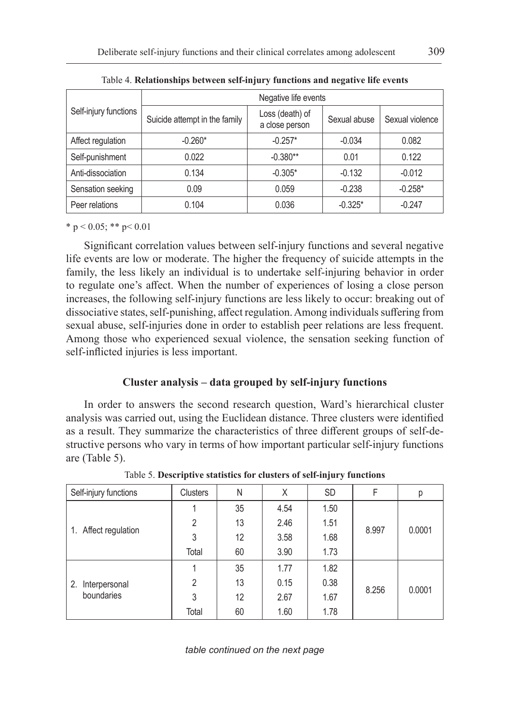| Self-injury functions | Negative life events          |                                   |              |                 |  |  |  |
|-----------------------|-------------------------------|-----------------------------------|--------------|-----------------|--|--|--|
|                       | Suicide attempt in the family | Loss (death) of<br>a close person | Sexual abuse | Sexual violence |  |  |  |
| Affect regulation     | $-0.260*$                     | $-0.257*$                         | $-0.034$     | 0.082           |  |  |  |
| Self-punishment       | 0.022                         | $-0.380**$                        | 0.01         | 0.122           |  |  |  |
| Anti-dissociation     | 0.134                         | $-0.305*$                         | $-0.132$     | $-0.012$        |  |  |  |
| Sensation seeking     | 0.09                          | 0.059                             | $-0.238$     | $-0.258*$       |  |  |  |
| Peer relations        | 0.104                         | 0.036                             | $-0.325*$    | $-0.247$        |  |  |  |

Table 4. **Relationships between self-injury functions and negative life events**

 $*$  p < 0.05; \*\* p < 0.01

Significant correlation values between self-injury functions and several negative life events are low or moderate. The higher the frequency of suicide attempts in the family, the less likely an individual is to undertake self-injuring behavior in order to regulate one's affect. When the number of experiences of losing a close person increases, the following self-injury functions are less likely to occur: breaking out of dissociative states, self-punishing, affect regulation. Among individuals suffering from sexual abuse, self-injuries done in order to establish peer relations are less frequent. Among those who experienced sexual violence, the sensation seeking function of self-inflicted injuries is less important.

# **Cluster analysis – data grouped by self-injury functions**

In order to answers the second research question, Ward's hierarchical cluster analysis was carried out, using the Euclidean distance. Three clusters were identified as a result. They summarize the characteristics of three different groups of self-destructive persons who vary in terms of how important particular self-injury functions are (Table 5).

| Self-injury functions          | Clusters       | Ν  | Χ    | <b>SD</b> | F     | р      |
|--------------------------------|----------------|----|------|-----------|-------|--------|
| 1. Affect regulation           |                | 35 | 4.54 | 1.50      |       |        |
|                                | $\overline{2}$ | 13 | 2.46 | 1.51      | 8.997 | 0.0001 |
|                                | 3              | 12 | 3.58 | 1.68      |       |        |
|                                | Total          | 60 | 3.90 | 1.73      |       |        |
| 2. Interpersonal<br>boundaries |                | 35 | 1.77 | 1.82      |       |        |
|                                | $\mathfrak{p}$ | 13 | 0.15 | 0.38      | 8.256 |        |
|                                | 3              | 12 | 2.67 | 1.67      |       | 0.0001 |
|                                | Total          | 60 | 1.60 | 1.78      |       |        |

Table 5. **Descriptive statistics for clusters of self-injury functions**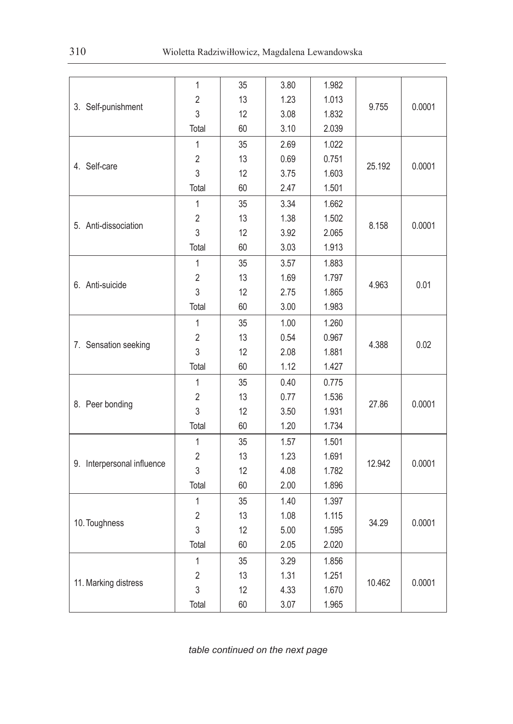|                            | 1              | 35 | 3.80 | 1.982 |        |        |
|----------------------------|----------------|----|------|-------|--------|--------|
|                            | $\overline{2}$ | 13 | 1.23 | 1.013 | 9.755  | 0.0001 |
| 3. Self-punishment         | 3              | 12 | 3.08 | 1.832 |        |        |
|                            | Total          | 60 | 3.10 | 2.039 |        |        |
|                            | 1              | 35 | 2.69 | 1.022 |        |        |
|                            | $\overline{2}$ | 13 | 0.69 | 0.751 | 25.192 |        |
| 4. Self-care               | 3              | 12 | 3.75 | 1.603 |        | 0.0001 |
|                            | Total          | 60 | 2.47 | 1.501 |        |        |
|                            | $\mathbf{1}$   | 35 | 3.34 | 1.662 |        |        |
|                            | 2              | 13 | 1.38 | 1.502 |        |        |
| 5. Anti-dissociation       | 3              | 12 | 3.92 | 2.065 | 8.158  | 0.0001 |
|                            | Total          | 60 | 3.03 | 1.913 |        |        |
|                            | $\mathbf{1}$   | 35 | 3.57 | 1.883 |        |        |
|                            | 2              | 13 | 1.69 | 1.797 |        |        |
| 6. Anti-suicide            | 3              | 12 | 2.75 | 1.865 | 4.963  | 0.01   |
|                            | Total          | 60 | 3.00 | 1.983 |        |        |
|                            | 1              | 35 | 1.00 | 1.260 |        |        |
|                            | 2              | 13 | 0.54 | 0.967 |        |        |
| 7. Sensation seeking       | 3              | 12 | 2.08 | 1.881 | 4.388  | 0.02   |
|                            | Total          | 60 | 1.12 | 1.427 |        |        |
|                            | 1              | 35 | 0.40 | 0.775 |        |        |
|                            | $\overline{2}$ | 13 | 0.77 | 1.536 |        |        |
| 8. Peer bonding            | 3              | 12 | 3.50 | 1.931 | 27.86  | 0.0001 |
|                            | Total          | 60 | 1.20 | 1.734 |        |        |
|                            | 1              | 35 | 1.57 | 1.501 |        |        |
|                            | $\overline{2}$ | 13 | 1.23 | 1.691 |        |        |
| 9. Interpersonal influence | 3              | 12 | 4.08 | 1.782 | 12.942 | 0.0001 |
|                            | Total          | 60 | 2.00 | 1.896 |        |        |
|                            | 1              | 35 | 1.40 | 1.397 |        |        |
|                            | $\overline{2}$ | 13 | 1.08 | 1.115 |        |        |
| 10. Toughness              | 3              | 12 | 5.00 | 1.595 | 34.29  | 0.0001 |
|                            | Total          | 60 | 2.05 | 2.020 |        |        |
|                            | 1              | 35 | 3.29 | 1.856 |        |        |
|                            | $\overline{2}$ | 13 | 1.31 | 1.251 |        |        |
| 11. Marking distress       | 3              | 12 | 4.33 | 1.670 | 10.462 | 0.0001 |
|                            | Total          | 60 | 3.07 | 1.965 |        |        |

*table continued on the next page*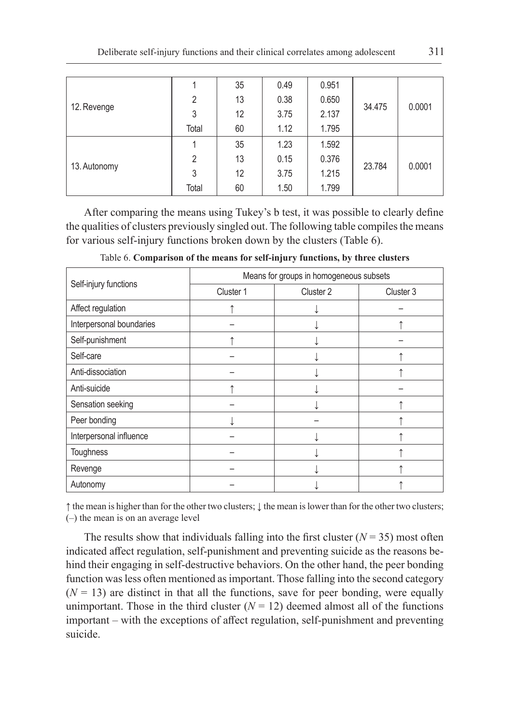| 12. Revenge  |                | 35 | 0.49 | 0.951 |        |        |
|--------------|----------------|----|------|-------|--------|--------|
|              | $\overline{2}$ | 13 | 0.38 | 0.650 |        |        |
|              | 3              | 12 | 3.75 | 2.137 | 34.475 | 0.0001 |
|              | Total          | 60 | 1.12 | 1.795 |        |        |
| 13. Autonomy |                | 35 | 1.23 | 1.592 |        |        |
|              | $\overline{2}$ | 13 | 0.15 | 0.376 |        |        |
|              | 3              | 12 | 3.75 | 1.215 | 23.784 | 0.0001 |
|              | Total          | 60 | 1.50 | 1.799 |        |        |

After comparing the means using Tukey's b test, it was possible to clearly define the qualities of clusters previously singled out. The following table compiles the means for various self-injury functions broken down by the clusters (Table 6).

|                          | Means for groups in homogeneous subsets |           |           |  |  |  |
|--------------------------|-----------------------------------------|-----------|-----------|--|--|--|
| Self-injury functions    | Cluster 1                               | Cluster 2 | Cluster 3 |  |  |  |
| Affect regulation        |                                         |           |           |  |  |  |
| Interpersonal boundaries |                                         |           |           |  |  |  |
| Self-punishment          |                                         |           |           |  |  |  |
| Self-care                |                                         |           |           |  |  |  |
| Anti-dissociation        |                                         |           |           |  |  |  |
| Anti-suicide             |                                         |           |           |  |  |  |
| Sensation seeking        |                                         |           |           |  |  |  |
| Peer bonding             |                                         |           |           |  |  |  |
| Interpersonal influence  |                                         |           |           |  |  |  |
| Toughness                |                                         |           |           |  |  |  |
| Revenge                  |                                         |           |           |  |  |  |
| Autonomy                 |                                         |           |           |  |  |  |

Table 6. **Comparison of the means for self-injury functions, by three clusters**

↑ the mean is higher than for the other two clusters; ↓ the mean is lower than for the other two clusters; (–) the mean is on an average level

The results show that individuals falling into the first cluster  $(N = 35)$  most often indicated affect regulation, self-punishment and preventing suicide as the reasons behind their engaging in self-destructive behaviors. On the other hand, the peer bonding function was less often mentioned as important. Those falling into the second category  $(N = 13)$  are distinct in that all the functions, save for peer bonding, were equally unimportant. Those in the third cluster  $(N = 12)$  deemed almost all of the functions important – with the exceptions of affect regulation, self-punishment and preventing suicide.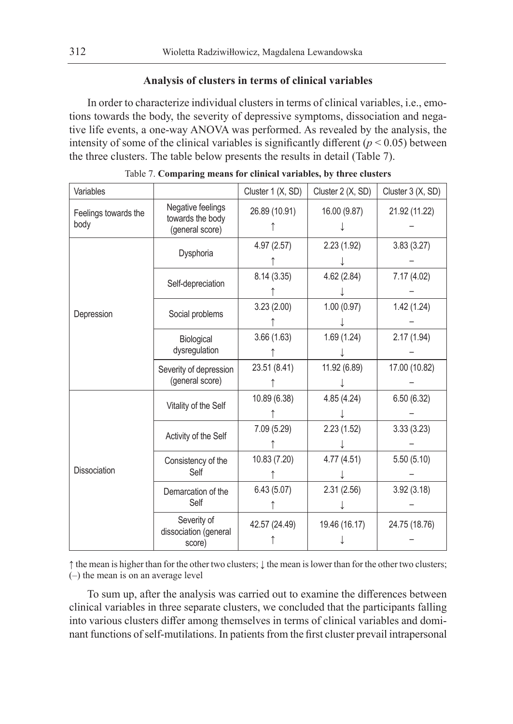## **Analysis of clusters in terms of clinical variables**

In order to characterize individual clusters in terms of clinical variables, i.e., emotions towards the body, the severity of depressive symptoms, dissociation and negative life events, a one-way ANOVA was performed. As revealed by the analysis, the intensity of some of the clinical variables is significantly different  $(p < 0.05)$  between the three clusters. The table below presents the results in detail (Table 7).

| Variables                    |                                                          | Cluster 1 (X, SD) | Cluster 2 (X, SD) | Cluster 3 (X, SD) |
|------------------------------|----------------------------------------------------------|-------------------|-------------------|-------------------|
| Feelings towards the<br>body | Negative feelings<br>towards the body<br>(general score) | 26.89 (10.91)     | 16.00 (9.87)      | 21.92 (11.22)     |
|                              | Dysphoria                                                | 4.97(2.57)        | 2.23(1.92)        | 3.83(3.27)        |
|                              | Self-depreciation                                        | 8.14(3.35)        | 4.62(2.84)        | 7.17(4.02)        |
| Depression                   | Social problems                                          | 3.23(2.00)        | 1.00(0.97)        | 1.42(1.24)        |
|                              | Biological<br>dysregulation                              | 3.66(1.63)        | 1.69(1.24)        | 2.17(1.94)        |
|                              | Severity of depression<br>(general score)                | 23.51 (8.41)      | 11.92 (6.89)      | 17.00 (10.82)     |
|                              | Vitality of the Self                                     | 10.89 (6.38)      | 4.85(4.24)        | 6.50(6.32)        |
|                              | Activity of the Self                                     | 7.09 (5.29)       | 2.23(1.52)        | 3.33(3.23)        |
| Dissociation                 | Consistency of the<br>Self                               | 10.83 (7.20)      | 4.77(4.51)        | 5.50(5.10)        |
|                              | Demarcation of the<br>Self                               | 6.43(5.07)        | 2.31(2.56)        | 3.92(3.18)        |
|                              | Severity of<br>dissociation (general<br>score)           | 42.57 (24.49)     | 19.46 (16.17)     | 24.75 (18.76)     |

Table 7. **Comparing means for clinical variables, by three clusters**

↑ the mean is higher than for the other two clusters; ↓ the mean is lower than for the other two clusters; (–) the mean is on an average level

To sum up, after the analysis was carried out to examine the differences between clinical variables in three separate clusters, we concluded that the participants falling into various clusters differ among themselves in terms of clinical variables and dominant functions of self-mutilations. In patients from the first cluster prevail intrapersonal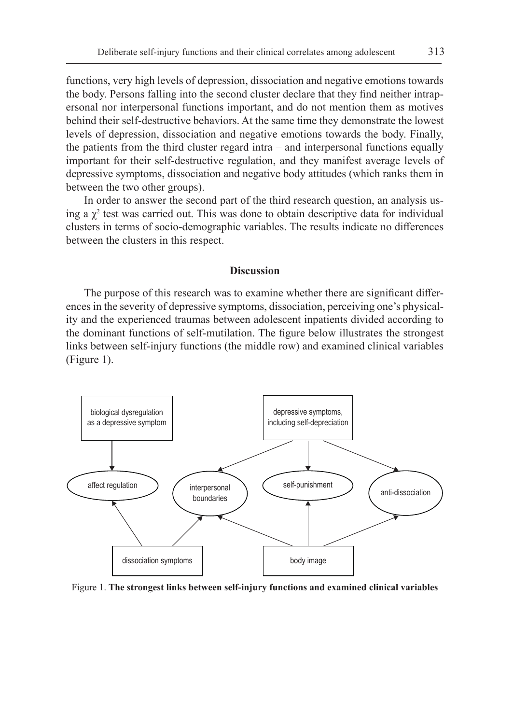functions, very high levels of depression, dissociation and negative emotions towards the body. Persons falling into the second cluster declare that they find neither intrapersonal nor interpersonal functions important, and do not mention them as motives behind their self-destructive behaviors. At the same time they demonstrate the lowest levels of depression, dissociation and negative emotions towards the body. Finally, the patients from the third cluster regard intra – and interpersonal functions equally important for their self-destructive regulation, and they manifest average levels of depressive symptoms, dissociation and negative body attitudes (which ranks them in between the two other groups).

In order to answer the second part of the third research question, an analysis using a  $\chi^2$  test was carried out. This was done to obtain descriptive data for individual clusters in terms of socio-demographic variables. The results indicate no differences between the clusters in this respect.

#### **Discussion**

The purpose of this research was to examine whether there are significant differences in the severity of depressive symptoms, dissociation, perceiving one's physicality and the experienced traumas between adolescent inpatients divided according to the dominant functions of self-mutilation. The figure below illustrates the strongest links between self-injury functions (the middle row) and examined clinical variables (Figure 1).



Figure 1. **The strongest links between self-injury functions and examined clinical variables**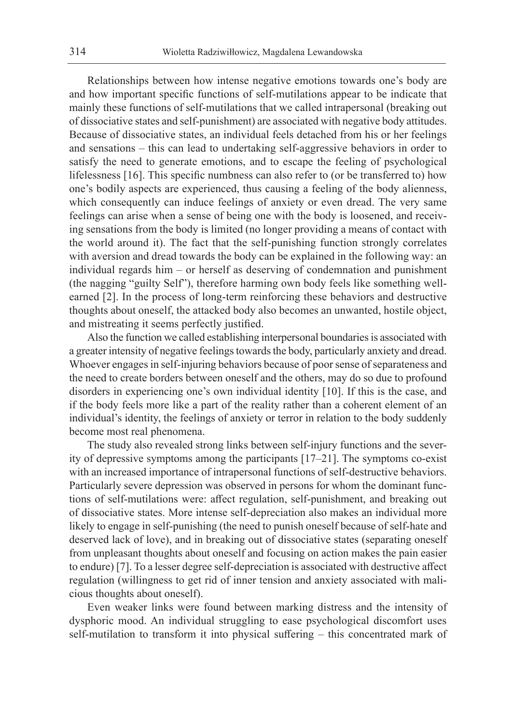Relationships between how intense negative emotions towards one's body are and how important specific functions of self-mutilations appear to be indicate that mainly these functions of self-mutilations that we called intrapersonal (breaking out of dissociative states and self-punishment) are associated with negative body attitudes. Because of dissociative states, an individual feels detached from his or her feelings and sensations – this can lead to undertaking self-aggressive behaviors in order to satisfy the need to generate emotions, and to escape the feeling of psychological lifelessness [16]. This specific numbness can also refer to (or be transferred to) how one's bodily aspects are experienced, thus causing a feeling of the body alienness, which consequently can induce feelings of anxiety or even dread. The very same feelings can arise when a sense of being one with the body is loosened, and receiving sensations from the body is limited (no longer providing a means of contact with the world around it). The fact that the self-punishing function strongly correlates with aversion and dread towards the body can be explained in the following way: an individual regards him – or herself as deserving of condemnation and punishment (the nagging "guilty Self"), therefore harming own body feels like something wellearned [2]. In the process of long-term reinforcing these behaviors and destructive thoughts about oneself, the attacked body also becomes an unwanted, hostile object, and mistreating it seems perfectly justified.

Also the function we called establishing interpersonal boundaries is associated with a greater intensity of negative feelings towards the body, particularly anxiety and dread. Whoever engages in self-injuring behaviors because of poor sense of separateness and the need to create borders between oneself and the others, may do so due to profound disorders in experiencing one's own individual identity [10]. If this is the case, and if the body feels more like a part of the reality rather than a coherent element of an individual's identity, the feelings of anxiety or terror in relation to the body suddenly become most real phenomena.

The study also revealed strong links between self-injury functions and the severity of depressive symptoms among the participants [17–21]. The symptoms co-exist with an increased importance of intrapersonal functions of self-destructive behaviors. Particularly severe depression was observed in persons for whom the dominant functions of self-mutilations were: affect regulation, self-punishment, and breaking out of dissociative states. More intense self-depreciation also makes an individual more likely to engage in self-punishing (the need to punish oneself because of self-hate and deserved lack of love), and in breaking out of dissociative states (separating oneself from unpleasant thoughts about oneself and focusing on action makes the pain easier to endure) [7]. To a lesser degree self-depreciation is associated with destructive affect regulation (willingness to get rid of inner tension and anxiety associated with malicious thoughts about oneself).

Even weaker links were found between marking distress and the intensity of dysphoric mood. An individual struggling to ease psychological discomfort uses self-mutilation to transform it into physical suffering – this concentrated mark of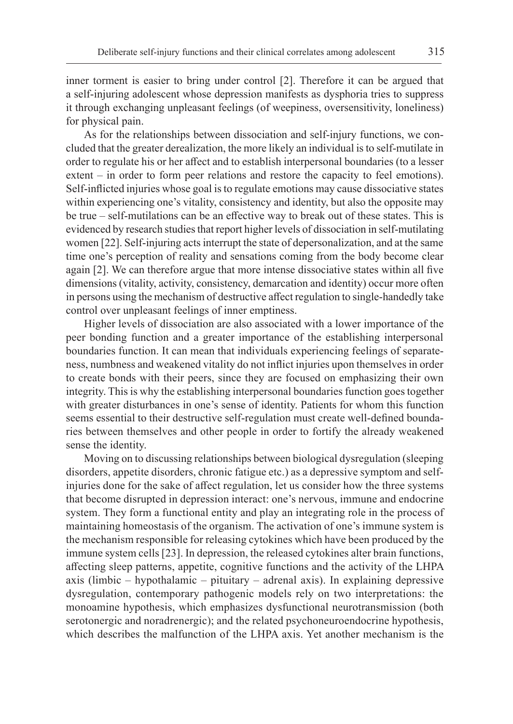inner torment is easier to bring under control [2]. Therefore it can be argued that a self-injuring adolescent whose depression manifests as dysphoria tries to suppress it through exchanging unpleasant feelings (of weepiness, oversensitivity, loneliness) for physical pain.

As for the relationships between dissociation and self-injury functions, we concluded that the greater derealization, the more likely an individual is to self-mutilate in order to regulate his or her affect and to establish interpersonal boundaries (to a lesser extent – in order to form peer relations and restore the capacity to feel emotions). Self-inflicted injuries whose goal is to regulate emotions may cause dissociative states within experiencing one's vitality, consistency and identity, but also the opposite may be true – self-mutilations can be an effective way to break out of these states. This is evidenced by research studies that report higher levels of dissociation in self-mutilating women [22]. Self-injuring acts interrupt the state of depersonalization, and at the same time one's perception of reality and sensations coming from the body become clear again [2]. We can therefore argue that more intense dissociative states within all five dimensions (vitality, activity, consistency, demarcation and identity) occur more often in persons using the mechanism of destructive affect regulation to single-handedly take control over unpleasant feelings of inner emptiness.

Higher levels of dissociation are also associated with a lower importance of the peer bonding function and a greater importance of the establishing interpersonal boundaries function. It can mean that individuals experiencing feelings of separateness, numbness and weakened vitality do not inflict injuries upon themselves in order to create bonds with their peers, since they are focused on emphasizing their own integrity. This is why the establishing interpersonal boundaries function goes together with greater disturbances in one's sense of identity. Patients for whom this function seems essential to their destructive self-regulation must create well-defined boundaries between themselves and other people in order to fortify the already weakened sense the identity.

Moving on to discussing relationships between biological dysregulation (sleeping disorders, appetite disorders, chronic fatigue etc.) as a depressive symptom and selfinjuries done for the sake of affect regulation, let us consider how the three systems that become disrupted in depression interact: one's nervous, immune and endocrine system. They form a functional entity and play an integrating role in the process of maintaining homeostasis of the organism. The activation of one's immune system is the mechanism responsible for releasing cytokines which have been produced by the immune system cells [23]. In depression, the released cytokines alter brain functions, affecting sleep patterns, appetite, cognitive functions and the activity of the LHPA axis (limbic – hypothalamic – pituitary – adrenal axis). In explaining depressive dysregulation, contemporary pathogenic models rely on two interpretations: the monoamine hypothesis, which emphasizes dysfunctional neurotransmission (both serotonergic and noradrenergic); and the related psychoneuroendocrine hypothesis, which describes the malfunction of the LHPA axis. Yet another mechanism is the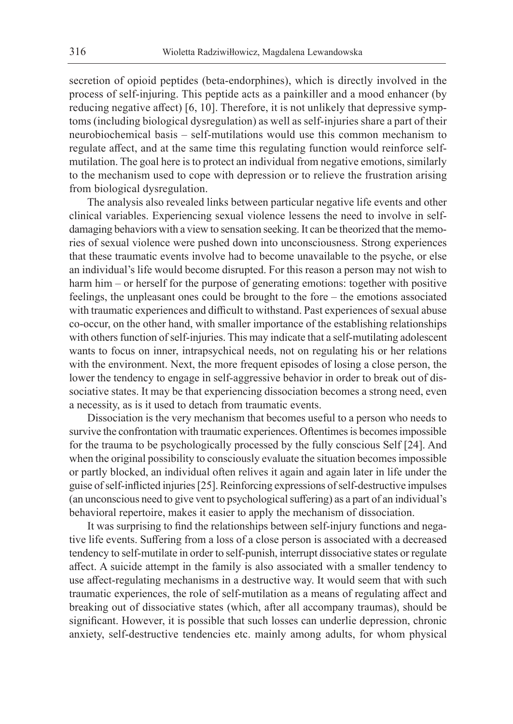secretion of opioid peptides (beta-endorphines), which is directly involved in the process of self-injuring. This peptide acts as a painkiller and a mood enhancer (by reducing negative affect) [6, 10]. Therefore, it is not unlikely that depressive symptoms (including biological dysregulation) as well as self-injuries share a part of their neurobiochemical basis – self-mutilations would use this common mechanism to regulate affect, and at the same time this regulating function would reinforce selfmutilation. The goal here is to protect an individual from negative emotions, similarly to the mechanism used to cope with depression or to relieve the frustration arising from biological dysregulation.

The analysis also revealed links between particular negative life events and other clinical variables. Experiencing sexual violence lessens the need to involve in selfdamaging behaviors with a view to sensation seeking. It can be theorized that the memories of sexual violence were pushed down into unconsciousness. Strong experiences that these traumatic events involve had to become unavailable to the psyche, or else an individual's life would become disrupted. For this reason a person may not wish to harm him – or herself for the purpose of generating emotions: together with positive feelings, the unpleasant ones could be brought to the fore – the emotions associated with traumatic experiences and difficult to withstand. Past experiences of sexual abuse co-occur, on the other hand, with smaller importance of the establishing relationships with others function of self-injuries. This may indicate that a self-mutilating adolescent wants to focus on inner, intrapsychical needs, not on regulating his or her relations with the environment. Next, the more frequent episodes of losing a close person, the lower the tendency to engage in self-aggressive behavior in order to break out of dissociative states. It may be that experiencing dissociation becomes a strong need, even a necessity, as is it used to detach from traumatic events.

Dissociation is the very mechanism that becomes useful to a person who needs to survive the confrontation with traumatic experiences. Oftentimes is becomes impossible for the trauma to be psychologically processed by the fully conscious Self [24]. And when the original possibility to consciously evaluate the situation becomes impossible or partly blocked, an individual often relives it again and again later in life under the guise of self-inflicted injuries [25]. Reinforcing expressions of self-destructive impulses (an unconscious need to give vent to psychological suffering) as a part of an individual's behavioral repertoire, makes it easier to apply the mechanism of dissociation.

It was surprising to find the relationships between self-injury functions and negative life events. Suffering from a loss of a close person is associated with a decreased tendency to self-mutilate in order to self-punish, interrupt dissociative states or regulate affect. A suicide attempt in the family is also associated with a smaller tendency to use affect-regulating mechanisms in a destructive way. It would seem that with such traumatic experiences, the role of self-mutilation as a means of regulating affect and breaking out of dissociative states (which, after all accompany traumas), should be significant. However, it is possible that such losses can underlie depression, chronic anxiety, self-destructive tendencies etc. mainly among adults, for whom physical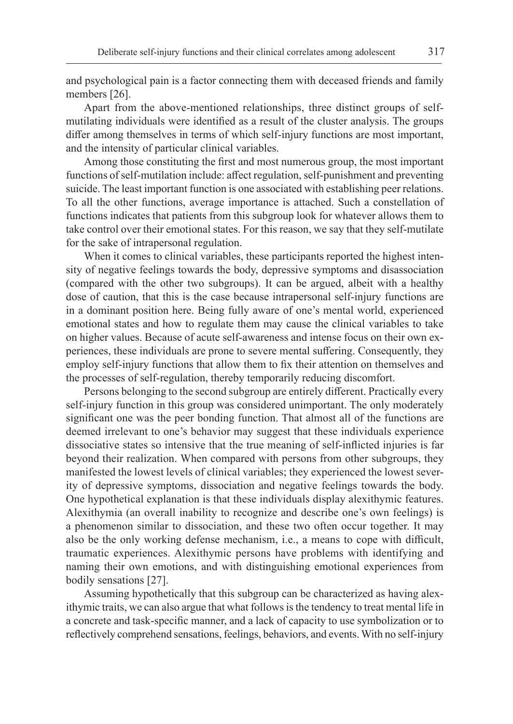and psychological pain is a factor connecting them with deceased friends and family members [26].

Apart from the above-mentioned relationships, three distinct groups of selfmutilating individuals were identified as a result of the cluster analysis. The groups differ among themselves in terms of which self-injury functions are most important, and the intensity of particular clinical variables.

Among those constituting the first and most numerous group, the most important functions of self-mutilation include: affect regulation, self-punishment and preventing suicide. The least important function is one associated with establishing peer relations. To all the other functions, average importance is attached. Such a constellation of functions indicates that patients from this subgroup look for whatever allows them to take control over their emotional states. For this reason, we say that they self-mutilate for the sake of intrapersonal regulation.

When it comes to clinical variables, these participants reported the highest intensity of negative feelings towards the body, depressive symptoms and disassociation (compared with the other two subgroups). It can be argued, albeit with a healthy dose of caution, that this is the case because intrapersonal self-injury functions are in a dominant position here. Being fully aware of one's mental world, experienced emotional states and how to regulate them may cause the clinical variables to take on higher values. Because of acute self-awareness and intense focus on their own experiences, these individuals are prone to severe mental suffering. Consequently, they employ self-injury functions that allow them to fix their attention on themselves and the processes of self-regulation, thereby temporarily reducing discomfort.

Persons belonging to the second subgroup are entirely different. Practically every self-injury function in this group was considered unimportant. The only moderately significant one was the peer bonding function. That almost all of the functions are deemed irrelevant to one's behavior may suggest that these individuals experience dissociative states so intensive that the true meaning of self-inflicted injuries is far beyond their realization. When compared with persons from other subgroups, they manifested the lowest levels of clinical variables; they experienced the lowest severity of depressive symptoms, dissociation and negative feelings towards the body. One hypothetical explanation is that these individuals display alexithymic features. Alexithymia (an overall inability to recognize and describe one's own feelings) is a phenomenon similar to dissociation, and these two often occur together. It may also be the only working defense mechanism, i.e., a means to cope with difficult, traumatic experiences. Alexithymic persons have problems with identifying and naming their own emotions, and with distinguishing emotional experiences from bodily sensations [27].

Assuming hypothetically that this subgroup can be characterized as having alexithymic traits, we can also argue that what follows is the tendency to treat mental life in a concrete and task-specific manner, and a lack of capacity to use symbolization or to reflectively comprehend sensations, feelings, behaviors, and events. With no self-injury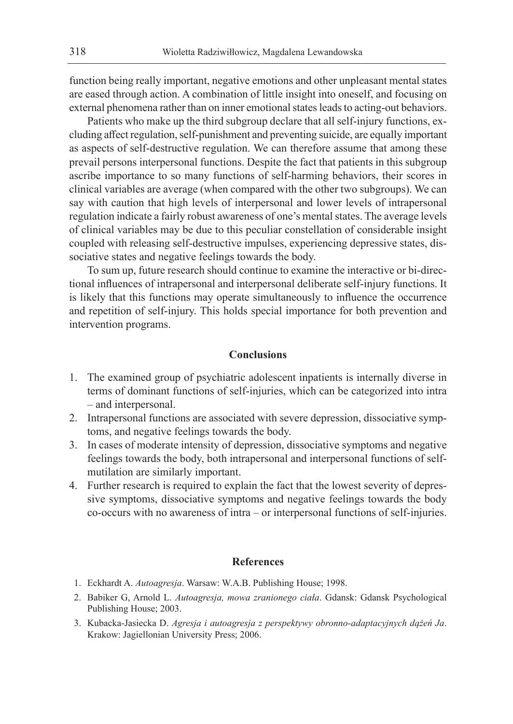function being really important, negative emotions and other unpleasant mental states are eased through action. A combination of little insight into oneself, and focusing on external phenomena rather than on inner emotional states leads to acting-out behaviors.

Patients who make up the third subgroup declare that all self-injury functions, excluding affect regulation, self-punishment and preventing suicide, are equally important as aspects of self-destructive regulation. We can therefore assume that among these prevail persons interpersonal functions. Despite the fact that patients in this subgroup ascribe importance to so many functions of self-harming behaviors, their scores in clinical variables are average (when compared with the other two subgroups). We can say with caution that high levels of interpersonal and lower levels of intrapersonal regulation indicate a fairly robust awareness of one's mental states. The average levels of clinical variables may be due to this peculiar constellation of considerable insight coupled with releasing self-destructive impulses, experiencing depressive states, dissociative states and negative feelings towards the body.

To sum up, future research should continue to examine the interactive or bi-directional influences of intrapersonal and interpersonal deliberate self-injury functions. It is likely that this functions may operate simultaneously to influence the occurrence and repetition of self-injury. This holds special importance for both prevention and intervention programs.

### **Conclusions**

- 1. The examined group of psychiatric adolescent inpatients is internally diverse in terms of dominant functions of self-injuries, which can be categorized into intra – and interpersonal.
- 2. Intrapersonal functions are associated with severe depression, dissociative symptoms, and negative feelings towards the body.
- 3. In cases of moderate intensity of depression, dissociative symptoms and negative feelings towards the body, both intrapersonal and interpersonal functions of selfmutilation are similarly important.
- 4. Further research is required to explain the fact that the lowest severity of depressive symptoms, dissociative symptoms and negative feelings towards the body co-occurs with no awareness of intra – or interpersonal functions of self-injuries.

## **References**

- 1. Eckhardt A. *Autoagresja*. Warsaw: W.A.B. Publishing House; 1998.
- 2. Babiker G, Arnold L. *Autoagresja, mowa zranionego ciała*. Gdansk: Gdansk Psychological Publishing House; 2003.
- 3. Kubacka-Jasiecka D. *Agresja i autoagresja z perspektywy obronno-adaptacyjnych dążeń Ja*. Krakow: Jagiellonian University Press; 2006.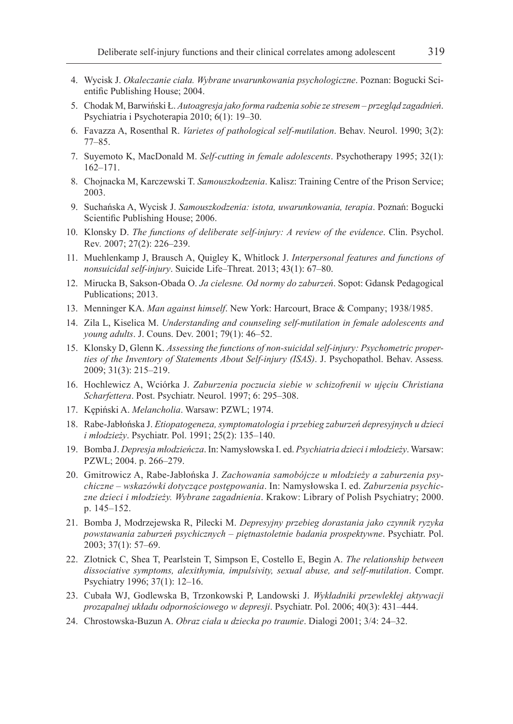- 4. Wycisk J. *Okaleczanie ciała. Wybrane uwarunkowania psychologiczne*. Poznan: Bogucki Scientific Publishing House; 2004.
- 5. Chodak M, Barwiński Ł. *Autoagresja jako forma radzenia sobie ze stresem przegląd zagadnień*. Psychiatria i Psychoterapia 2010; 6(1): 19–30.
- 6. Favazza A, Rosenthal R. *Varietes of pathological self-mutilation*. Behav. Neurol. 1990; 3(2): 77–85.
- 7. Suyemoto K, MacDonald M. *Self-cutting in female adolescents*. Psychotherapy 1995; 32(1): 162–171.
- 8. Chojnacka M, Karczewski T. *Samouszkodzenia*. Kalisz: Training Centre of the Prison Service; 2003.
- 9. Suchańska A, Wycisk J. *Samouszkodzenia: istota, uwarunkowania, terapia*. Poznań: Bogucki Scientific Publishing House; 2006.
- 10. Klonsky D. *The functions of deliberate self-injury: A review of the evidence*. Clin. Psychol. Rev*.* 2007; 27(2): 226–239.
- 11. Muehlenkamp J, Brausch A, Quigley K, Whitlock J. *Interpersonal features and functions of nonsuicidal self-injury*. Suicide Life–Threat. 2013; 43(1): 67–80.
- 12. Mirucka B, Sakson-Obada O. *Ja cielesne. Od normy do zaburzeń*. Sopot: Gdansk Pedagogical Publications; 2013.
- 13. Menninger KA. *Man against himself*. New York: Harcourt, Brace & Company; 1938/1985.
- 14. Zila L, Kiselica M. *Understanding and counseling self-mutilation in female adolescents and young adults*. J. Couns. Dev. 2001; 79(1): 46–52.
- 15. Klonsky D, Glenn K. *Assessing the functions of non-suicidal self-injury: Psychometric properties of the Inventory of Statements About Self-injury (ISAS)*. J. Psychopathol. Behav. Assess*.*  2009; 31(3): 215–219.
- 16. Hochlewicz A, Wciórka J. *Zaburzenia poczucia siebie w schizofrenii w ujęciu Christiana Scharfettera*. Post. Psychiatr. Neurol. 1997; 6: 295–308.
- 17. Kępiński A. *Melancholia*. Warsaw: PZWL; 1974.
- 18. Rabe-Jabłońska J. *Etiopatogeneza, symptomatologia i przebieg zaburzeń depresyjnych u dzieci i młodzieży*. Psychiatr. Pol. 1991; 25(2): 135–140.
- 19. Bomba J. *Depresja młodzieńcza*. In: Namysłowska I. ed. *Psychiatria dzieci i młodzieży*. Warsaw: PZWL; 2004. p. 266–279.
- 20. Gmitrowicz A, Rabe-Jabłońska J. *Zachowania samobójcze u młodzieży a zaburzenia psychiczne – wskazówki dotyczące postępowania*. In: Namysłowska I. ed. *Zaburzenia psychiczne dzieci i młodzieży. Wybrane zagadnienia*. Krakow: Library of Polish Psychiatry; 2000. p. 145–152.
- 21. Bomba J, Modrzejewska R, Pilecki M. *Depresyjny przebieg dorastania jako czynnik ryzyka powstawania zaburzeń psychicznych – piętnastoletnie badania prospektywne*. Psychiatr. Pol. 2003; 37(1): 57–69.
- 22. Zlotnick C, Shea T, Pearlstein T, Simpson E, Costello E, Begin A. *The relationship between dissociative symptoms, alexithymia, impulsivity, sexual abuse, and self-mutilation*. Compr. Psychiatry 1996; 37(1): 12–16.
- 23. Cubała WJ, Godlewska B, Trzonkowski P, Landowski J. *Wykładniki przewlekłej aktywacji prozapalnej układu odpornościowego w depresji*. Psychiatr. Pol. 2006; 40(3): 431–444.
- 24. Chrostowska-Buzun A. *Obraz ciała u dziecka po traumie*. Dialogi 2001; 3/4: 24–32.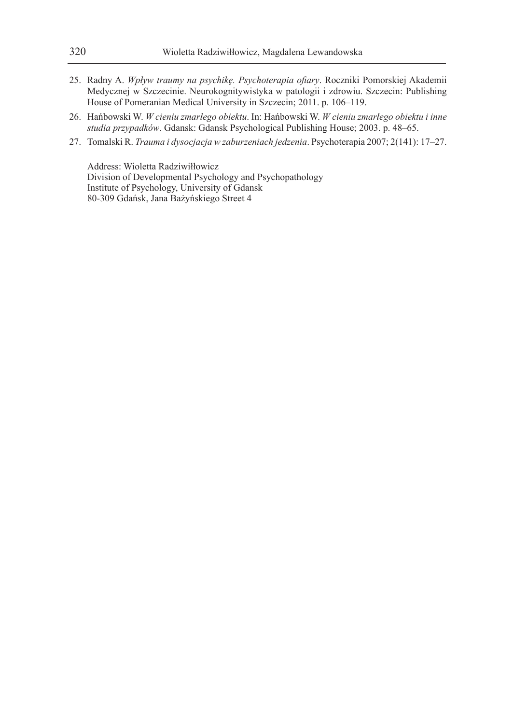- 25. Radny A. *Wpływ traumy na psychikę. Psychoterapia ofiary*. Roczniki Pomorskiej Akademii Medycznej w Szczecinie. Neurokognitywistyka w patologii i zdrowiu. Szczecin: Publishing House of Pomeranian Medical University in Szczecin; 2011. p. 106–119.
- 26. Hańbowski W. *W cieniu zmarłego obiektu*. In: Hańbowski W. *W cieniu zmarłego obiektu i inne studia przypadków*. Gdansk: Gdansk Psychological Publishing House; 2003. p. 48–65.
- 27. Tomalski R. *Trauma i dysocjacja w zaburzeniach jedzenia*. Psychoterapia 2007; 2(141): 17–27.

Address: Wioletta Radziwiłłowicz Division of Developmental Psychology and Psychopathology Institute of Psychology, University of Gdansk 80-309 Gdańsk, Jana Bażyńskiego Street 4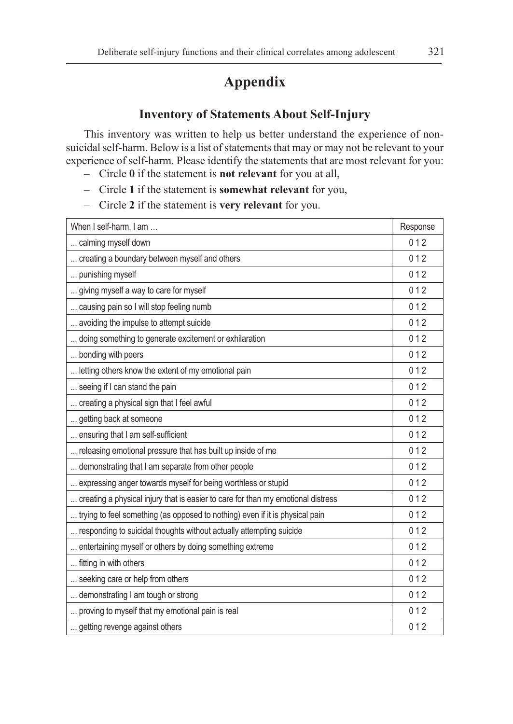# **Appendix**

# **Inventory of Statements About Self-Injury**

This inventory was written to help us better understand the experience of nonsuicidal self-harm. Below is a list of statements that may or may not be relevant to your experience of self-harm. Please identify the statements that are most relevant for you:

- Circle **0** if the statement is **not relevant** for you at all,
- Circle **1** if the statement is **somewhat relevant** for you,
- Circle **2** if the statement is **very relevant** for you.

| When I self-harm, I am                                                           | Response |
|----------------------------------------------------------------------------------|----------|
| calming myself down                                                              | 012      |
| creating a boundary between myself and others                                    | 012      |
| punishing myself                                                                 | 012      |
| giving myself a way to care for myself                                           | 012      |
| causing pain so I will stop feeling numb                                         | 012      |
| avoiding the impulse to attempt suicide                                          | 012      |
| doing something to generate excitement or exhilaration                           | 012      |
| bonding with peers                                                               | 012      |
| letting others know the extent of my emotional pain                              | 012      |
| seeing if I can stand the pain                                                   | 012      |
| creating a physical sign that I feel awful                                       | 012      |
| getting back at someone                                                          | 012      |
| ensuring that I am self-sufficient                                               | 012      |
| releasing emotional pressure that has built up inside of me                      | 012      |
| demonstrating that I am separate from other people                               | 012      |
| expressing anger towards myself for being worthless or stupid                    | 012      |
| creating a physical injury that is easier to care for than my emotional distress | 012      |
| trying to feel something (as opposed to nothing) even if it is physical pain     | 012      |
| responding to suicidal thoughts without actually attempting suicide              | 012      |
| entertaining myself or others by doing something extreme                         | 012      |
| fitting in with others                                                           | 012      |
| seeking care or help from others                                                 | 012      |
| demonstrating I am tough or strong                                               | 012      |
| proving to myself that my emotional pain is real                                 | 012      |
| getting revenge against others                                                   | 012      |